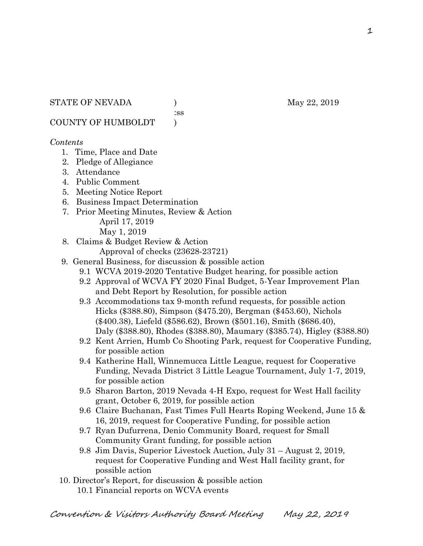:ss

COUNTY OF HUMBOLDT )

### *Contents*

- 1. Time, Place and Date
- 2. Pledge of Allegiance
- 3. Attendance
- 4. Public Comment
- 5. Meeting Notice Report
- 6. Business Impact Determination
- 7. Prior Meeting Minutes, Review & Action April 17, 2019 May 1, 2019
- 8. Claims & Budget Review & Action
	- Approval of checks (23628-23721)
- 9. General Business, for discussion & possible action
	- 9.1 WCVA 2019-2020 Tentative Budget hearing, for possible action
	- 9.2 Approval of WCVA FY 2020 Final Budget, 5-Year Improvement Plan and Debt Report by Resolution, for possible action
	- 9.3 Accommodations tax 9-month refund requests, for possible action Hicks (\$388.80), Simpson (\$475.20), Bergman (\$453.60), Nichols (\$400.38), Liefeld (\$586.62), Brown (\$501.16), Smith (\$686.40), Daly (\$388.80), Rhodes (\$388.80), Maumary (\$385.74), Higley (\$388.80)
	- 9.2 Kent Arrien, Humb Co Shooting Park, request for Cooperative Funding, for possible action
	- 9.4 Katherine Hall, Winnemucca Little League, request for Cooperative Funding, Nevada District 3 Little League Tournament, July 1-7, 2019, for possible action
	- 9.5 Sharon Barton, 2019 Nevada 4-H Expo, request for West Hall facility grant, October 6, 2019, for possible action
	- 9.6 Claire Buchanan, Fast Times Full Hearts Roping Weekend, June 15 & 16, 2019, request for Cooperative Funding, for possible action
	- 9.7 Ryan Dufurrena, Denio Community Board, request for Small Community Grant funding, for possible action
	- 9.8 Jim Davis, Superior Livestock Auction, July 31 August 2, 2019, request for Cooperative Funding and West Hall facility grant, for possible action
- 10. Director's Report, for discussion & possible action 10.1 Financial reports on WCVA events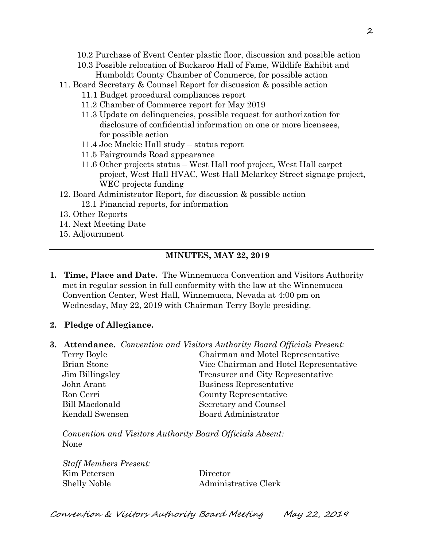- 10.2 Purchase of Event Center plastic floor, discussion and possible action
- 10.3 Possible relocation of Buckaroo Hall of Fame, Wildlife Exhibit and Humboldt County Chamber of Commerce, for possible action
- 11. Board Secretary & Counsel Report for discussion & possible action
	- 11.1 Budget procedural compliances report
	- 11.2 Chamber of Commerce report for May 2019
	- 11.3 Update on delinquencies, possible request for authorization for disclosure of confidential information on one or more licensees, for possible action
	- 11.4 Joe Mackie Hall study status report
	- 11.5 Fairgrounds Road appearance
	- 11.6 Other projects status West Hall roof project, West Hall carpet project, West Hall HVAC, West Hall Melarkey Street signage project, WEC projects funding
- 12. Board Administrator Report, for discussion & possible action 12.1 Financial reports, for information
- 13. Other Reports
- 14. Next Meeting Date
- 15. Adjournment

# **MINUTES, MAY 22, 2019**

- **1. Time, Place and Date.** The Winnemucca Convention and Visitors Authority met in regular session in full conformity with the law at the Winnemucca Convention Center, West Hall, Winnemucca, Nevada at 4:00 pm on Wednesday, May 22, 2019 with Chairman Terry Boyle presiding.
- **2. Pledge of Allegiance.**
- **3. Attendance.** *Convention and Visitors Authority Board Officials Present:*

| Vice Chairman and Hotel Representative |
|----------------------------------------|
|                                        |
|                                        |
|                                        |
|                                        |
|                                        |
|                                        |

*Convention and Visitors Authority Board Officials Absent:* None

*Staff Members Present:* Kim Petersen Director Shelly Noble Administrative Clerk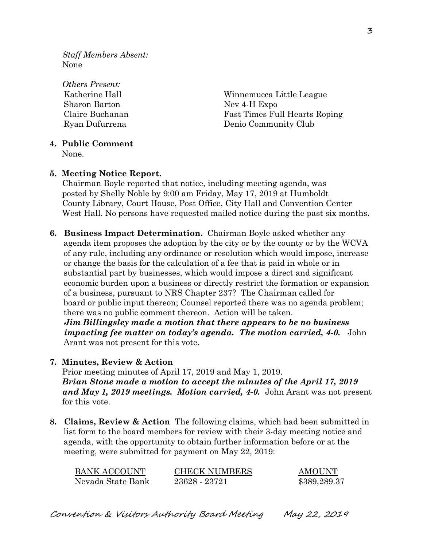*Staff Members Absent:* None

*Others Present:* Sharon Barton Nev 4-H Expo

Katherine Hall **Example 2018** Winnemucca Little League Claire Buchanan Fast Times Full Hearts Roping Ryan Dufurrena Denio Community Club

### **4. Public Comment**

None.

### **5. Meeting Notice Report.**

Chairman Boyle reported that notice, including meeting agenda, was posted by Shelly Noble by 9:00 am Friday, May 17, 2019 at Humboldt County Library, Court House, Post Office, City Hall and Convention Center West Hall. No persons have requested mailed notice during the past six months.

**6. Business Impact Determination.** Chairman Boyle asked whether any agenda item proposes the adoption by the city or by the county or by the WCVA of any rule, including any ordinance or resolution which would impose, increase or change the basis for the calculation of a fee that is paid in whole or in substantial part by businesses, which would impose a direct and significant economic burden upon a business or directly restrict the formation or expansion of a business, pursuant to NRS Chapter 237? The Chairman called for board or public input thereon; Counsel reported there was no agenda problem; there was no public comment thereon. Action will be taken.  *Jim Billingsley made a motion that there appears to be no business impacting fee matter on today's agenda. The motion carried, 4-0.* John Arant was not present for this vote.

### **7. Minutes, Review & Action**

Prior meeting minutes of April 17, 2019 and May 1, 2019. *Brian Stone made a motion to accept the minutes of the April 17, 2019 and May 1, 2019 meetings. Motion carried, 4-0.* John Arant was not present for this vote.

**8. Claims, Review & Action** The following claims, which had been submitted in list form to the board members for review with their 3-day meeting notice and agenda, with the opportunity to obtain further information before or at the meeting, were submitted for payment on May 22, 2019:

| <b>BANK ACCOUNT</b> | <b>CHECK NUMBERS</b> | <b>AMOUNT</b> |
|---------------------|----------------------|---------------|
| Nevada State Bank   | 23628 - 23721        | \$389,289.37  |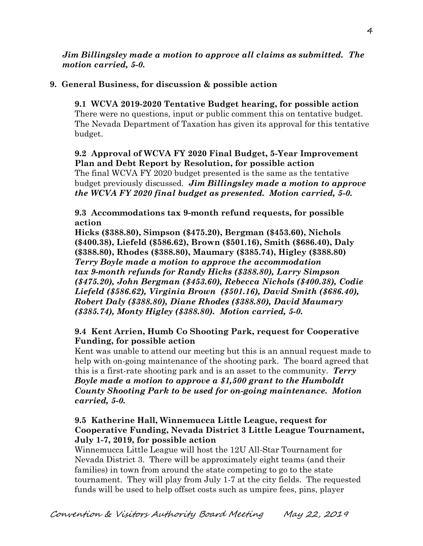### *Jim Billingsley made a motion to approve all claims as submitted. The motion carried, 5-0.*

# **9. General Business, for discussion & possible action**

**9.1 WCVA 2019-2020 Tentative Budget hearing, for possible action** There were no questions, input or public comment this on tentative budget. The Nevada Department of Taxation has given its approval for this tentative budget.

### **9.2 Approval of WCVA FY 2020 Final Budget, 5-Year Improvement Plan and Debt Report by Resolution, for possible action**

The final WCVA FY 2020 budget presented is the same as the tentative budget previously discussed. *Jim Billingsley made a motion to approve the WCVA FY 2020 final budget as presented. Motion carried, 5-0.* 

**9.3 Accommodations tax 9-month refund requests, for possible action**

**Hicks (\$388.80), Simpson (\$475.20), Bergman (\$453.60), Nichols (\$400.38), Liefeld (\$586.62), Brown (\$501.16), Smith (\$686.40), Daly (\$388.80), Rhodes (\$388.80), Maumary (\$385.74), Higley (\$388.80)** *Terry Boyle made a motion to approve the accommodation tax 9-month refunds for Randy Hicks (\$388.80), Larry Simpson (\$475.20), John Bergman (\$453.60), Rebecca Nichols (\$400.38), Codie Liefeld (\$586.62), Virginia Brown (\$501.16), David Smith (\$686.40), Robert Daly (\$388.80), Diane Rhodes (\$388.80), David Maumary (\$385.74), Monty Higley (\$388.80). Motion carried, 5-0.*

# **9.4 Kent Arrien, Humb Co Shooting Park, request for Cooperative Funding, for possible action**

Kent was unable to attend our meeting but this is an annual request made to help with on-going maintenance of the shooting park. The board agreed that this is a first-rate shooting park and is an asset to the community. *Terry Boyle made a motion to approve a \$1,500 grant to the Humboldt County Shooting Park to be used for on-going maintenance. Motion carried, 5-0.* 

### **9.5 Katherine Hall, Winnemucca Little League, request for Cooperative Funding, Nevada District 3 Little League Tournament, July 1-7, 2019, for possible action**

Winnemucca Little League will host the 12U All-Star Tournament for Nevada District 3. There will be approximately eight teams (and their families) in town from around the state competing to go to the state tournament. They will play from July 1-7 at the city fields. The requested funds will be used to help offset costs such as umpire fees, pins, player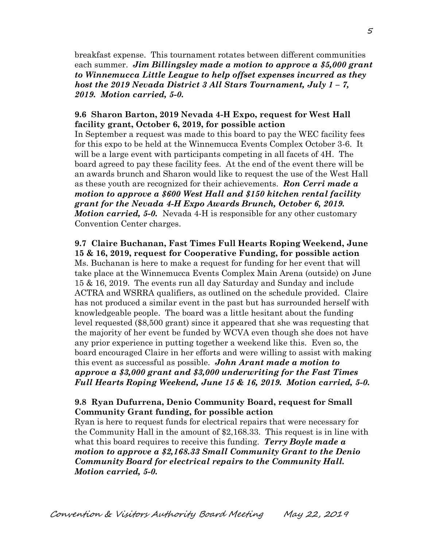breakfast expense. This tournament rotates between different communities each summer. *Jim Billingsley made a motion to approve a \$5,000 grant to Winnemucca Little League to help offset expenses incurred as they host the 2019 Nevada District 3 All Stars Tournament, July 1 – 7, 2019. Motion carried, 5-0.*

### **9.6 Sharon Barton, 2019 Nevada 4-H Expo, request for West Hall facility grant, October 6, 2019, for possible action**

In September a request was made to this board to pay the WEC facility fees for this expo to be held at the Winnemucca Events Complex October 3-6. It will be a large event with participants competing in all facets of 4H. The board agreed to pay these facility fees. At the end of the event there will be an awards brunch and Sharon would like to request the use of the West Hall as these youth are recognized for their achievements. *Ron Cerri made a motion to approve a \$600 West Hall and \$150 kitchen rental facility grant for the Nevada 4-H Expo Awards Brunch, October 6, 2019. Motion carried, 5-0.* Nevada 4-H is responsible for any other customary Convention Center charges.

**9.7 Claire Buchanan, Fast Times Full Hearts Roping Weekend, June 15 & 16, 2019, request for Cooperative Funding, for possible action** Ms. Buchanan is here to make a request for funding for her event that will take place at the Winnemucca Events Complex Main Arena (outside) on June 15 & 16, 2019. The events run all day Saturday and Sunday and include ACTRA and WSRRA qualifiers, as outlined on the schedule provided. Claire has not produced a similar event in the past but has surrounded herself with knowledgeable people. The board was a little hesitant about the funding level requested (\$8,500 grant) since it appeared that she was requesting that the majority of her event be funded by WCVA even though she does not have any prior experience in putting together a weekend like this. Even so, the board encouraged Claire in her efforts and were willing to assist with making this event as successful as possible. *John Arant made a motion to approve a \$3,000 grant and \$3,000 underwriting for the Fast Times Full Hearts Roping Weekend, June 15 & 16, 2019. Motion carried, 5-0.* 

### **9.8 Ryan Dufurrena, Denio Community Board, request for Small Community Grant funding, for possible action**

Ryan is here to request funds for electrical repairs that were necessary for the Community Hall in the amount of \$2,168.33. This request is in line with what this board requires to receive this funding. *Terry Boyle made a motion to approve a \$2,168.33 Small Community Grant to the Denio Community Board for electrical repairs to the Community Hall. Motion carried, 5-0.*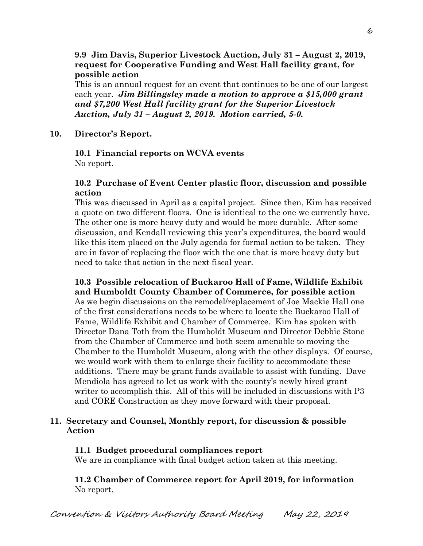### **9.9 Jim Davis, Superior Livestock Auction, July 31 – August 2, 2019, request for Cooperative Funding and West Hall facility grant, for possible action**

This is an annual request for an event that continues to be one of our largest each year. *Jim Billingsley made a motion to approve a \$15,000 grant and \$7,200 West Hall facility grant for the Superior Livestock Auction, July 31 – August 2, 2019. Motion carried, 5-0.*

### **10. Director's Report.**

### **10.1 Financial reports on WCVA events**  No report.

### **10.2 Purchase of Event Center plastic floor, discussion and possible action**

This was discussed in April as a capital project. Since then, Kim has received a quote on two different floors. One is identical to the one we currently have. The other one is more heavy duty and would be more durable. After some discussion, and Kendall reviewing this year's expenditures, the board would like this item placed on the July agenda for formal action to be taken. They are in favor of replacing the floor with the one that is more heavy duty but need to take that action in the next fiscal year.

# **10.3 Possible relocation of Buckaroo Hall of Fame, Wildlife Exhibit and Humboldt County Chamber of Commerce, for possible action**

As we begin discussions on the remodel/replacement of Joe Mackie Hall one of the first considerations needs to be where to locate the Buckaroo Hall of Fame, Wildlife Exhibit and Chamber of Commerce. Kim has spoken with Director Dana Toth from the Humboldt Museum and Director Debbie Stone from the Chamber of Commerce and both seem amenable to moving the Chamber to the Humboldt Museum, along with the other displays. Of course, we would work with them to enlarge their facility to accommodate these additions. There may be grant funds available to assist with funding. Dave Mendiola has agreed to let us work with the county's newly hired grant writer to accomplish this. All of this will be included in discussions with P3 and CORE Construction as they move forward with their proposal.

### **11. Secretary and Counsel, Monthly report, for discussion & possible Action**

### **11.1 Budget procedural compliances report**

We are in compliance with final budget action taken at this meeting.

**11.2 Chamber of Commerce report for April 2019, for information** No report.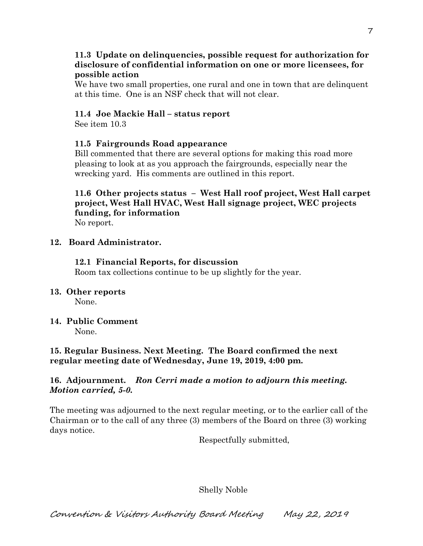### **11.3 Update on delinquencies, possible request for authorization for disclosure of confidential information on one or more licensees, for possible action**

We have two small properties, one rural and one in town that are delinquent at this time. One is an NSF check that will not clear.

# **11.4 Joe Mackie Hall – status report**

See item 10.3

# **11.5 Fairgrounds Road appearance**

Bill commented that there are several options for making this road more pleasing to look at as you approach the fairgrounds, especially near the wrecking yard. His comments are outlined in this report.

# **11.6 Other projects status – West Hall roof project, West Hall carpet project, West Hall HVAC, West Hall signage project, WEC projects funding, for information**

No report.

# **12. Board Administrator.**

# **12.1 Financial Reports, for discussion**

Room tax collections continue to be up slightly for the year.

# **13. Other reports**

None.

# **14. Public Comment**

None.

# **15. Regular Business. Next Meeting. The Board confirmed the next regular meeting date of Wednesday, June 19, 2019, 4:00 pm.**

# **16. Adjournment.** *Ron Cerri made a motion to adjourn this meeting. Motion carried, 5-0.*

The meeting was adjourned to the next regular meeting, or to the earlier call of the Chairman or to the call of any three (3) members of the Board on three (3) working days notice.

Respectfully submitted,

# Shelly Noble